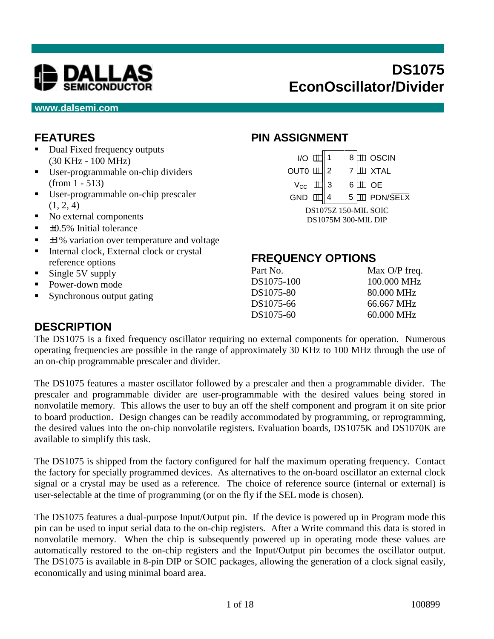

#### **www.dalsemi.com**

# **FEATURES**

- Dual Fixed frequency outputs (30 KHz - 100 MHz)
- User-programmable on-chip dividers (from 1 - 513)
- User-programmable on-chip prescaler  $(1, 2, 4)$
- No external components
- $\blacksquare$   $\pm 0.5\%$  Initial tolerance
- $\pm 1\%$  variation over temperature and voltage
- **Internal clock, External clock or crystal** reference options
- $\blacksquare$  Single 5V supply
- Power-down mode
- Synchronous output gating

## **PIN ASSIGNMENT**

| $IO$ [            |                            |   | 8 |  | $\mathbb D$ oscin    |  |  |  |
|-------------------|----------------------------|---|---|--|----------------------|--|--|--|
| OUT0 <sup>[</sup> |                            |   |   |  | $\Box$ XTAL          |  |  |  |
| $V_{\rm CC}$      |                            | 3 |   |  | <b>OE</b>            |  |  |  |
| GND               |                            |   | 5 |  | PDN/SELX             |  |  |  |
|                   |                            |   |   |  | DS1075Z 150-MIL SOIC |  |  |  |
|                   | <b>DS1075M 300-MIL DIP</b> |   |   |  |                      |  |  |  |

# **FREQUENCY OPTIONS**

| Part No.   | Max $O/P$ freq. |
|------------|-----------------|
| DS1075-100 | 100,000 MHz     |
| DS1075-80  | 80.000 MHz      |
| DS1075-66  | 66.667 MHz      |
| DS1075-60  | 60.000 MHz      |
|            |                 |

### **DESCRIPTION**

The DS1075 is a fixed frequency oscillator requiring no external components for operation. Numerous operating frequencies are possible in the range of approximately 30 KHz to 100 MHz through the use of an on-chip programmable prescaler and divider.

The DS1075 features a master oscillator followed by a prescaler and then a programmable divider. The prescaler and programmable divider are user-programmable with the desired values being stored in nonvolatile memory. This allows the user to buy an off the shelf component and program it on site prior to board production. Design changes can be readily accommodated by programming, or reprogramming, the desired values into the on-chip nonvolatile registers. Evaluation boards, DS1075K and DS1070K are available to simplify this task.

The DS1075 is shipped from the factory configured for half the maximum operating frequency. Contact the factory for specially programmed devices. As alternatives to the on-board oscillator an external clock signal or a crystal may be used as a reference. The choice of reference source (internal or external) is user-selectable at the time of programming (or on the fly if the SEL mode is chosen).

The DS1075 features a dual-purpose Input/Output pin. If the device is powered up in Program mode this pin can be used to input serial data to the on-chip registers. After a Write command this data is stored in nonvolatile memory. When the chip is subsequently powered up in operating mode these values are automatically restored to the on-chip registers and the Input/Output pin becomes the oscillator output. The DS1075 is available in 8-pin DIP or SOIC packages, allowing the generation of a clock signal easily, economically and using minimal board area.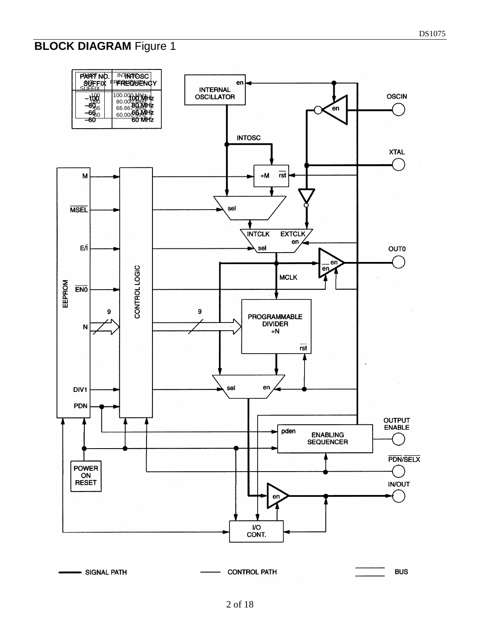# **BLOCK DIAGRAM Figure 1**

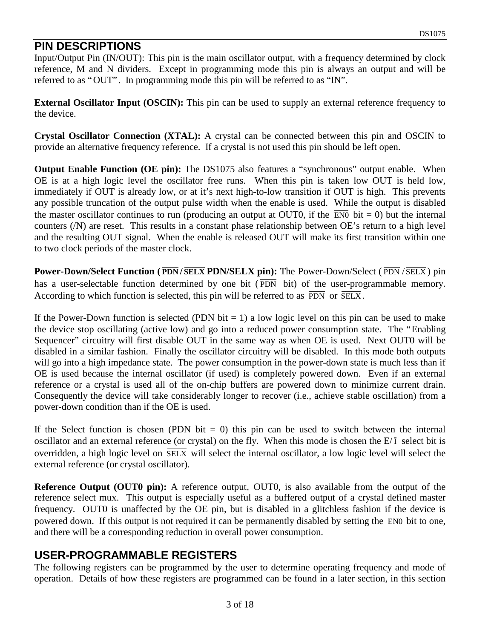#### **PIN DESCRIPTIONS**

Input/Output Pin (IN/OUT): This pin is the main oscillator output, with a frequency determined by clock reference, M and N dividers. Except in programming mode this pin is always an output and will be referred to as "OUT". In programming mode this pin will be referred to as "IN".

**External Oscillator Input (OSCIN):** This pin can be used to supply an external reference frequency to the device.

**Crystal Oscillator Connection (XTAL):** A crystal can be connected between this pin and OSCIN to provide an alternative frequency reference. If a crystal is not used this pin should be left open.

**Output Enable Function (OE pin):** The DS1075 also features a "synchronous" output enable. When OE is at a high logic level the oscillator free runs. When this pin is taken low OUT is held low, immediately if OUT is already low, or at it's next high-to-low transition if OUT is high. This prevents any possible truncation of the output pulse width when the enable is used. While the output is disabled the master oscillator continues to run (producing an output at OUT0, if the  $\overline{EN0}$  bit = 0) but the internal counters (/N) are reset. This results in a constant phase relationship between OE's return to a high level and the resulting OUT signal. When the enable is released OUT will make its first transition within one to two clock periods of the master clock.

**Power-Down/Select Function (** $\overline{PDN}/\overline{SELX}$  **PDN/SELX pin): The Power-Down/Select (** $\overline{PDN}/\overline{SELX}$ **) pin** has a user-selectable function determined by one bit ( $\overline{PDN}$  bit) of the user-programmable memory. According to which function is selected, this pin will be referred to as  $\overline{PDN}$  or  $\overline{SELX}$ .

If the Power-Down function is selected (PDN bit  $= 1$ ) a low logic level on this pin can be used to make the device stop oscillating (active low) and go into a reduced power consumption state. The "Enabling Sequencer" circuitry will first disable OUT in the same way as when OE is used. Next OUT0 will be disabled in a similar fashion. Finally the oscillator circuitry will be disabled. In this mode both outputs will go into a high impedance state. The power consumption in the power-down state is much less than if OE is used because the internal oscillator (if used) is completely powered down. Even if an external reference or a crystal is used all of the on-chip buffers are powered down to minimize current drain. Consequently the device will take considerably longer to recover (i.e., achieve stable oscillation) from a power-down condition than if the OE is used.

If the Select function is chosen (PDN bit  $= 0$ ) this pin can be used to switch between the internal oscillator and an external reference (or crystal) on the fly. When this mode is chosen the  $E/\overline{I}$  select bit is overridden, a high logic level on  $\overline{SELX}$  will select the internal oscillator, a low logic level will select the external reference (or crystal oscillator).

**Reference Output (OUT0 pin):** A reference output, OUT0, is also available from the output of the reference select mux. This output is especially useful as a buffered output of a crystal defined master frequency. OUT0 is unaffected by the OE pin, but is disabled in a glitchless fashion if the device is powered down. If this output is not required it can be permanently disabled by setting the  $\overline{EN0}$  bit to one, and there will be a corresponding reduction in overall power consumption.

# **USER-PROGRAMMABLE REGISTERS**

The following registers can be programmed by the user to determine operating frequency and mode of operation. Details of how these registers are programmed can be found in a later section, in this section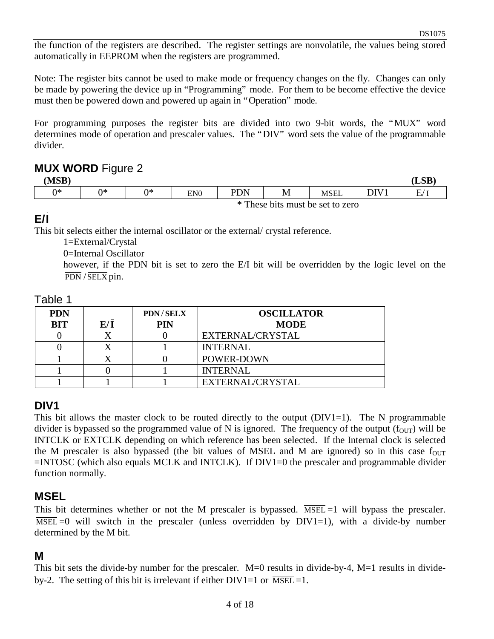the function of the registers are described. The register settings are nonvolatile, the values being stored automatically in EEPROM when the registers are programmed.

Note: The register bits cannot be used to make mode or frequency changes on the fly. Changes can only be made by powering the device up in "Programming" mode. For them to be become effective the device must then be powered down and powered up again in "Operation" mode.

For programming purposes the register bits are divided into two 9-bit words, the "MUX" word determines mode of operation and prescaler values. The "DIV" word sets the value of the programmable divider.

#### **MUX WORD** Figure 2

| (MSB) | -  |    |                 |     |                                  |      |      | <b>LSB</b> |
|-------|----|----|-----------------|-----|----------------------------------|------|------|------------|
| ∩∗    | ∩∗ | ∩∗ | EN <sub>0</sub> | PDN | M                                | MSEL | DIV1 | E/         |
|       |    |    |                 |     | * These bits must be set to zero |      |      |            |

### **E/I**

This bit selects either the internal oscillator or the external/ crystal reference.

1=External/Crystal

0=Internal Oscillator

however, if the PDN bit is set to zero the E/I bit will be overridden by the logic level on the  $\overline{PDN}$  /  $\overline{SELX}$  pin.

| able |  |
|------|--|
|------|--|

| <b>PDN</b> |     | <b>PDN/SELX</b> | <b>OSCILLATOR</b> |
|------------|-----|-----------------|-------------------|
| <b>BIT</b> | E/I | PIN             | <b>MODE</b>       |
|            |     |                 | EXTERNAL/CRYSTAL  |
|            |     |                 | <b>INTERNAL</b>   |
|            |     |                 | POWER-DOWN        |
|            |     |                 | <b>INTERNAL</b>   |
|            |     |                 | EXTERNAL/CRYSTAL  |

#### **DIV1**

This bit allows the master clock to be routed directly to the output  $(DIV1=1)$ . The N programmable divider is bypassed so the programmed value of N is ignored. The frequency of the output  $(f_{\text{OUT}})$  will be INTCLK or EXTCLK depending on which reference has been selected. If the Internal clock is selected the M prescaler is also bypassed (the bit values of MSEL and M are ignored) so in this case  $f_{\text{OUT}}$ =INTOSC (which also equals MCLK and INTCLK). If DIV1=0 the prescaler and programmable divider function normally.

#### **MSEL**

This bit determines whether or not the M prescaler is bypassed.  $\overline{\text{MSEL}}$  =1 will bypass the prescaler.  $\overline{\text{MSEL}}$  =0 will switch in the prescaler (unless overridden by DIV1=1), with a divide-by number determined by the M bit.

### **M**

This bit sets the divide-by number for the prescaler. M=0 results in divide-by-4, M=1 results in divideby-2. The setting of this bit is irrelevant if either  $DIV1=1$  or  $\overline{MSEL}=1$ .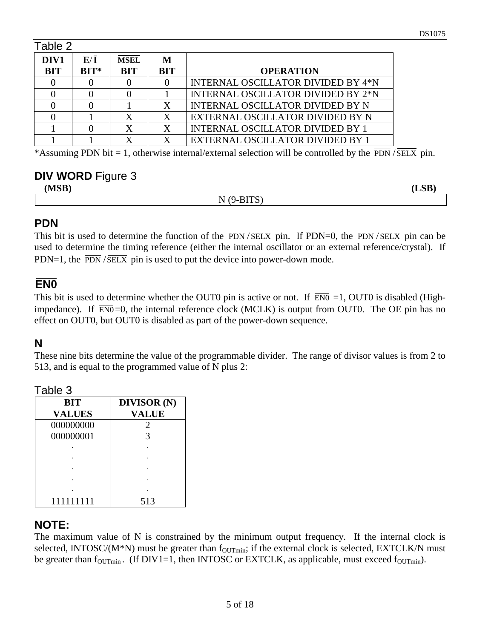| Table 2    |             |             |            |                                           |
|------------|-------------|-------------|------------|-------------------------------------------|
| DIV1       | E/I         | <b>MSEL</b> | М          |                                           |
| <b>BIT</b> | $\bf BIT^*$ | BIT         | <b>BIT</b> | <b>OPERATION</b>                          |
|            |             |             |            | <b>INTERNAL OSCILLATOR DIVIDED BY 4*N</b> |
|            |             |             |            | <b>INTERNAL OSCILLATOR DIVIDED BY 2*N</b> |
|            |             |             | X          | INTERNAL OSCILLATOR DIVIDED BY N          |
|            |             |             |            | EXTERNAL OSCILLATOR DIVIDED BY N          |
|            |             |             | X          | <b>INTERNAL OSCILLATOR DIVIDED BY 1</b>   |
|            |             |             |            | EXTERNAL OSCILLATOR DIVIDED BY 1          |

\*Assuming PDN bit = 1, otherwise internal/external selection will be controlled by the  $\overline{PDN}/\overline{SELX}$  pin.

### **DIV WORD** Figure 3

**(MSB) (LSB)**

N (9-BITS)

### **PDN**

This bit is used to determine the function of the  $\overline{PDN}/\overline{SELX}$  pin. If PDN=0, the  $\overline{PDN}/\overline{SELX}$  pin can be used to determine the timing reference (either the internal oscillator or an external reference/crystal). If PDN=1, the  $\overline{PDN}/\overline{SELX}$  pin is used to put the device into power-down mode.

## **EN0**

This bit is used to determine whether the OUT0 pin is active or not. If  $\overline{EN0}$  =1, OUT0 is disabled (Highimpedance). If  $\overline{EN0}=0$ , the internal reference clock (MCLK) is output from OUT0. The OE pin has no effect on OUT0, but OUT0 is disabled as part of the power-down sequence.

### **N**

These nine bits determine the value of the programmable divider. The range of divisor values is from 2 to 513, and is equal to the programmed value of N plus 2:

Table 3

| BIT           | <b>DIVISOR</b> (N) |
|---------------|--------------------|
| <b>VALUES</b> | <b>VALUE</b>       |
| 000000000     | 2                  |
| 000000001     | 3                  |
|               |                    |
|               |                    |
|               |                    |
|               |                    |
|               |                    |
| 111111111     | 513                |

### **NOTE:**

The maximum value of N is constrained by the minimum output frequency. If the internal clock is selected, INTOSC/( $M*N$ ) must be greater than  $f_{\text{OUTmin}}$ ; if the external clock is selected, EXTCLK/N must be greater than  $f_{\text{OUTmin}}$ . (If DIV1=1, then INTOSC or EXTCLK, as applicable, must exceed  $f_{\text{OUTmin}}$ ).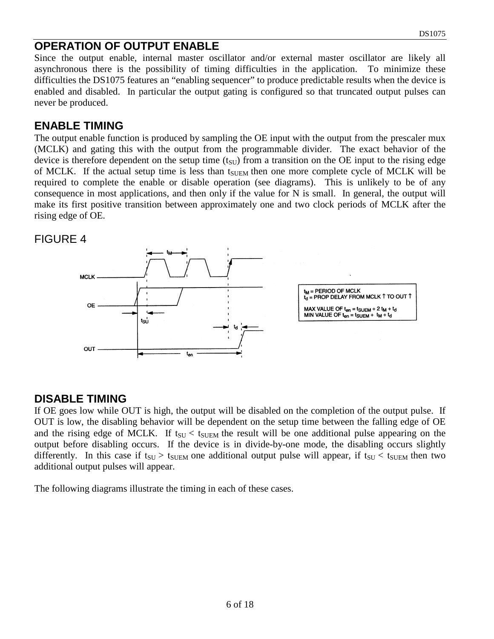#### **OPERATION OF OUTPUT ENABLE**

Since the output enable, internal master oscillator and/or external master oscillator are likely all asynchronous there is the possibility of timing difficulties in the application. To minimize these difficulties the DS1075 features an "enabling sequencer" to produce predictable results when the device is enabled and disabled. In particular the output gating is configured so that truncated output pulses can never be produced.

#### **ENABLE TIMING**

The output enable function is produced by sampling the OE input with the output from the prescaler mux (MCLK) and gating this with the output from the programmable divider. The exact behavior of the device is therefore dependent on the setup time  $(t_{\text{SU}})$  from a transition on the OE input to the rising edge of MCLK. If the actual setup time is less than t<sub>SUEM</sub> then one more complete cycle of MCLK will be required to complete the enable or disable operation (see diagrams). This is unlikely to be of any consequence in most applications, and then only if the value for N is small. In general, the output will make its first positive transition between approximately one and two clock periods of MCLK after the rising edge of OE.

#### FIGURE 4



#### **DISABLE TIMING**

If OE goes low while OUT is high, the output will be disabled on the completion of the output pulse. If OUT is low, the disabling behavior will be dependent on the setup time between the falling edge of OE and the rising edge of MCLK. If  $t_{\text{SU}} < t_{\text{SUEM}}$  the result will be one additional pulse appearing on the output before disabling occurs. If the device is in divide-by-one mode, the disabling occurs slightly differently. In this case if  $t_{\text{SU}} > t_{\text{SUEM}}$  one additional output pulse will appear, if  $t_{\text{SU}} < t_{\text{SUEM}}$  then two additional output pulses will appear.

The following diagrams illustrate the timing in each of these cases.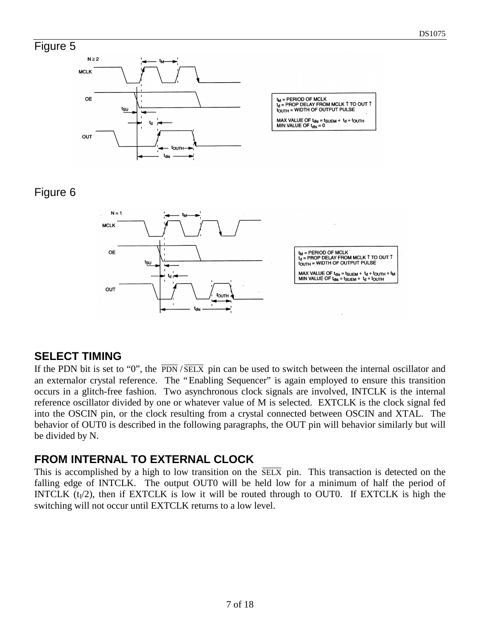### Figure 5



| $t_M$ = PERIOD OF MCLK<br>$t_1$ = PROP DELAY FROM MCLK 1 TO OUT 1<br>tourn = WIDTH OF OUTPUT PULSE |
|----------------------------------------------------------------------------------------------------|
| MAX VALUE OF $t_{dis} = t_{SUBM} + t_d + t_{OUTH}$<br>MIN VALUE OF $t_{\text{dis}} = 0$            |

# Figure 6



### **SELECT TIMING**

If the PDN bit is set to "0", the  $\overline{PDN}/\overline{SELX}$  pin can be used to switch between the internal oscillator and an externalor crystal reference. The "Enabling Sequencer" is again employed to ensure this transition occurs in a glitch-free fashion. Two asynchronous clock signals are involved, INTCLK is the internal reference oscillator divided by one or whatever value of M is selected. EXTCLK is the clock signal fed into the OSCIN pin, or the clock resulting from a crystal connected between OSCIN and XTAL. The behavior of OUT0 is described in the following paragraphs, the OUT pin will behavior similarly but will be divided by N.

### **FROM INTERNAL TO EXTERNAL CLOCK**

This is accomplished by a high to low transition on the  $\overline{SELX}$  pin. This transaction is detected on the falling edge of INTCLK. The output OUT0 will be held low for a minimum of half the period of INTCLK  $(t_1/2)$ , then if EXTCLK is low it will be routed through to OUT0. If EXTCLK is high the switching will not occur until EXTCLK returns to a low level.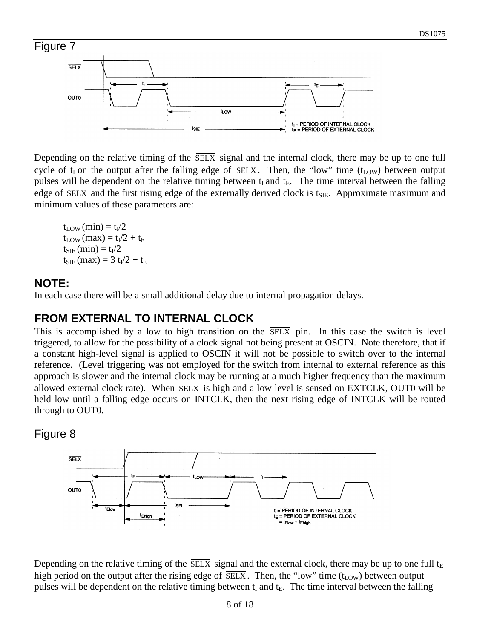

Depending on the relative timing of the  $\overline{\text{SELX}}$  signal and the internal clock, there may be up to one full cycle of  $t_I$  on the output after the falling edge of  $\overline{SELX}$ . Then, the "low" time ( $t_{LOW}$ ) between output pulses will be dependent on the relative timing between  $t_I$  and  $t_E$ . The time interval between the falling edge of  $\overline{\text{SELX}}$  and the first rising edge of the externally derived clock is t<sub>SIE</sub>. Approximate maximum and minimum values of these parameters are:

 $t_{\rm{LOW}}$  (min) =  $t_{\rm{I}}/2$  $t_{\rm LOW}$  (max) =  $t_{\rm I}/2 + t_{\rm E}$  $t_{SIE}$  (min) =  $t_I/2$  $t_{\text{SIE}}$  (max) = 3  $t_{\text{I}}/2 + t_{\text{E}}$ 

# **NOTE:**

In each case there will be a small additional delay due to internal propagation delays.

# **FROM EXTERNAL TO INTERNAL CLOCK**

This is accomplished by a low to high transition on the  $\overline{SELX}$  pin. In this case the switch is level triggered, to allow for the possibility of a clock signal not being present at OSCIN. Note therefore, that if a constant high-level signal is applied to OSCIN it will not be possible to switch over to the internal reference. (Level triggering was not employed for the switch from internal to external reference as this approach is slower and the internal clock may be running at a much higher frequency than the maximum allowed external clock rate). When  $\overline{SELX}$  is high and a low level is sensed on  $EXTCLK$ , OUT0 will be held low until a falling edge occurs on INTCLK, then the next rising edge of INTCLK will be routed through to OUT0.

Figure 8



Depending on the relative timing of the  $\overline{\text{SELX}}$  signal and the external clock, there may be up to one full  $t_E$ high period on the output after the rising edge of  $\overline{\text{SELX}}$ . Then, the "low" time (t<sub>LOW</sub>) between output pulses will be dependent on the relative timing between  $t_I$  and  $t_E$ . The time interval between the falling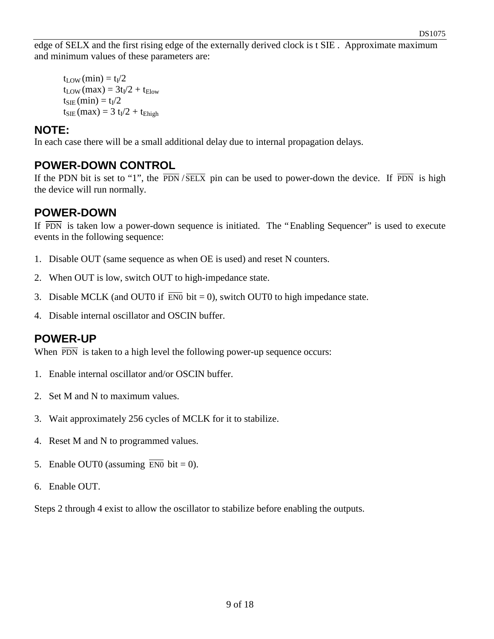edge of SELX and the first rising edge of the externally derived clock is t SIE . Approximate maximum and minimum values of these parameters are:

 $t_{\rm{LOW}}$  (min) =  $t_{\rm{I}}/2$  $t_{\text{LOW}}$  (max) =  $3t_{\text{I}}/2 + t_{\text{Flow}}$  $t_{SIE}$  (min) =  $t_I/2$  $t_{\text{SIE}}$  (max) = 3  $t_{I}/2 + t_{\text{Ehigh}}$ 

#### **NOTE:**

In each case there will be a small additional delay due to internal propagation delays.

# **POWER-DOWN CONTROL**

If the PDN bit is set to "1", the  $\overline{PDN}$  / $\overline{SELX}$  pin can be used to power-down the device. If  $\overline{PDN}$  is high the device will run normally.

### **POWER-DOWN**

If  $\overline{PDN}$  is taken low a power-down sequence is initiated. The "Enabling Sequencer" is used to execute events in the following sequence:

- 1. Disable OUT (same sequence as when OE is used) and reset N counters.
- 2. When OUT is low, switch OUT to high-impedance state.
- 3. Disable MCLK (and OUT0 if  $\overline{EN0}$  bit = 0), switch OUT0 to high impedance state.
- 4. Disable internal oscillator and OSCIN buffer.

### **POWER-UP**

When  $\overline{PDN}$  is taken to a high level the following power-up sequence occurs:

- 1. Enable internal oscillator and/or OSCIN buffer.
- 2. Set M and N to maximum values.
- 3. Wait approximately 256 cycles of MCLK for it to stabilize.
- 4. Reset M and N to programmed values.
- 5. Enable OUT0 (assuming  $\overline{EN0}$  bit = 0).
- 6. Enable OUT.

Steps 2 through 4 exist to allow the oscillator to stabilize before enabling the outputs.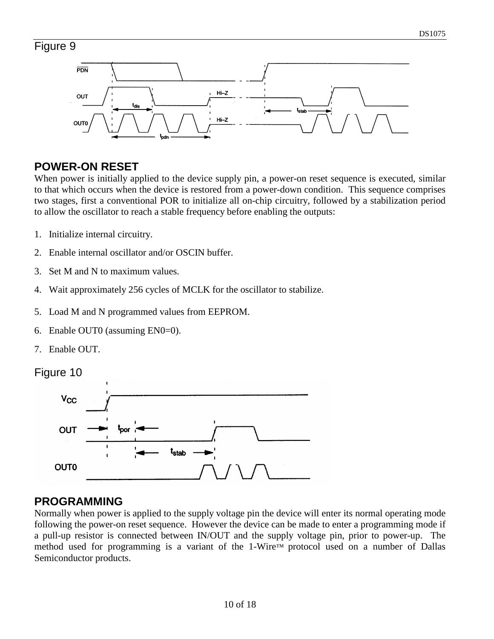# Figure 9



# **POWER-ON RESET**

When power is initially applied to the device supply pin, a power-on reset sequence is executed, similar to that which occurs when the device is restored from a power-down condition. This sequence comprises two stages, first a conventional POR to initialize all on-chip circuitry, followed by a stabilization period to allow the oscillator to reach a stable frequency before enabling the outputs:

- 1. Initialize internal circuitry.
- 2. Enable internal oscillator and/or OSCIN buffer.
- 3. Set M and N to maximum values.
- 4. Wait approximately 256 cycles of MCLK for the oscillator to stabilize.
- 5. Load M and N programmed values from EEPROM.
- 6. Enable OUT0 (assuming EN0=0).
- 7. Enable OUT.





### **PROGRAMMING**

Normally when power is applied to the supply voltage pin the device will enter its normal operating mode following the power-on reset sequence. However the device can be made to enter a programming mode if a pull-up resistor is connected between IN/OUT and the supply voltage pin, prior to power-up. The method used for programming is a variant of the 1-Wire™ protocol used on a number of Dallas Semiconductor products.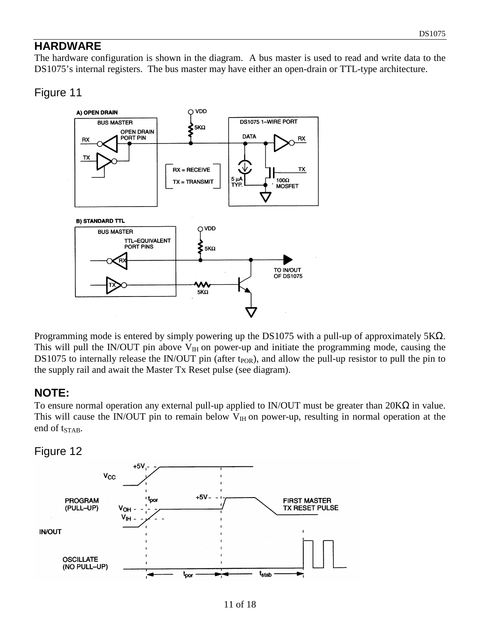### **HARDWARE**

The hardware configuration is shown in the diagram. A bus master is used to read and write data to the DS1075's internal registers. The bus master may have either an open-drain or TTL-type architecture.

#### Figure 11



Programming mode is entered by simply powering up the DS1075 with a pull-up of approximately 5KΩ. This will pull the IN/OUT pin above  $V_{IH}$  on power-up and initiate the programming mode, causing the DS1075 to internally release the IN/OUT pin (after t<sub>POR</sub>), and allow the pull-up resistor to pull the pin to the supply rail and await the Master Tx Reset pulse (see diagram).

#### **NOTE:**

To ensure normal operation any external pull-up applied to IN/OUT must be greater than 20KΩ in value. This will cause the IN/OUT pin to remain below  $V_{\text{H}}$  on power-up, resulting in normal operation at the end of t<sub>STAB</sub>.

#### Figure 12

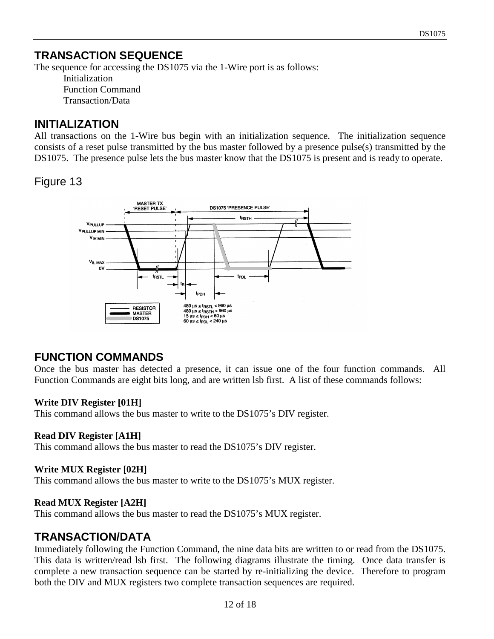# **TRANSACTION SEQUENCE**

The sequence for accessing the DS1075 via the 1-Wire port is as follows:

Initialization Function Command Transaction/Data

#### **INITIALIZATION**

All transactions on the 1-Wire bus begin with an initialization sequence. The initialization sequence consists of a reset pulse transmitted by the bus master followed by a presence pulse(s) transmitted by the DS1075. The presence pulse lets the bus master know that the DS1075 is present and is ready to operate.

# Figure 13



# **FUNCTION COMMANDS**

Once the bus master has detected a presence, it can issue one of the four function commands. All Function Commands are eight bits long, and are written lsb first. A list of these commands follows:

#### **Write DIV Register [01H]**

This command allows the bus master to write to the DS1075's DIV register.

#### **Read DIV Register [A1H]**

This command allows the bus master to read the DS1075's DIV register.

#### **Write MUX Register [02H]**

This command allows the bus master to write to the DS1075's MUX register.

#### **Read MUX Register [A2H]**

This command allows the bus master to read the DS1075's MUX register.

### **TRANSACTION/DATA**

Immediately following the Function Command, the nine data bits are written to or read from the DS1075. This data is written/read lsb first. The following diagrams illustrate the timing. Once data transfer is complete a new transaction sequence can be started by re-initializing the device. Therefore to program both the DIV and MUX registers two complete transaction sequences are required.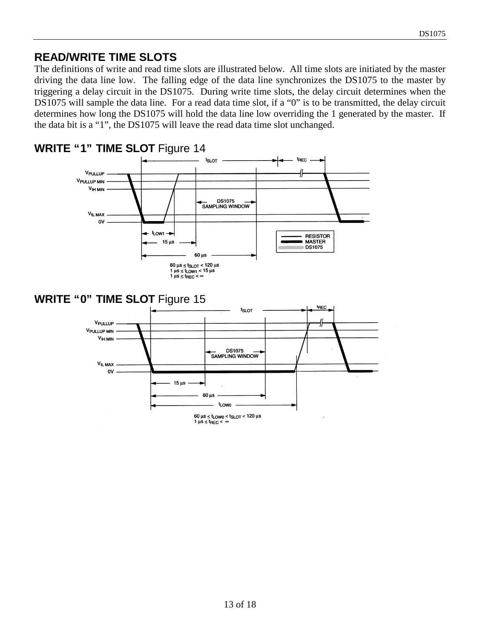# **READ/WRITE TIME SLOTS**

The definitions of write and read time slots are illustrated below. All time slots are initiated by the master driving the data line low. The falling edge of the data line synchronizes the DS1075 to the master by triggering a delay circuit in the DS1075. During write time slots, the delay circuit determines when the DS1075 will sample the data line. For a read data time slot, if a "0" is to be transmitted, the delay circuit determines how long the DS1075 will hold the data line low overriding the 1 generated by the master. If the data bit is a "1", the DS1075 will leave the read data time slot unchanged.

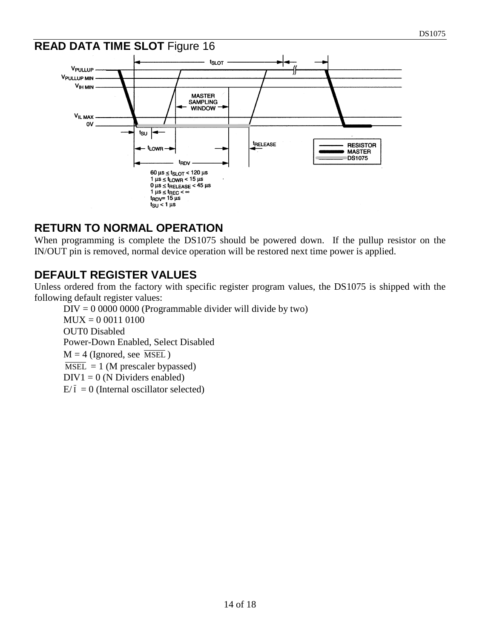#### **READ DATA TIME SLOT** Figure 16 **t<sub>SLOT</sub>** VPULLUP **VPULLUP MIN VIH MIN MASTER SAMPLING WINDOW** V<sub>IL MAX</sub>  $\mathbf{O}$  $t_{\text{SU}}$   $\leftarrow$ **TRELEASE RESISTOR** – <sup>t</sup>LOWR —<del>∍</del> ۵ **MASTER DS1075** t<sub>RDV</sub>  $60 \mu s \leq t_{SLOT} < 120 \mu s$  $1 \mu s \leq t$ <sub>LOWR</sub> <  $15 \mu s$  $0 \mu s \leq t$ RELEASE < 45 µs  $1 \mu s \leq t_{\text{REC}} < \infty$ <br> $t_{\text{RDV}} = 15 \mu s$  $t_{\text{SU}}$  < 1  $\mu$ s

### **RETURN TO NORMAL OPERATION**

When programming is complete the DS1075 should be powered down. If the pullup resistor on the IN/OUT pin is removed, normal device operation will be restored next time power is applied.

## **DEFAULT REGISTER VALUES**

Unless ordered from the factory with specific register program values, the DS1075 is shipped with the following default register values:

 $DIV = 000000000$  (Programmable divider will divide by two) MUX = 0 0011 0100 OUT0 Disabled Power-Down Enabled, Select Disabled  $M = 4$  (Ignored, see MSEL)  $\overline{\text{MSEL}} = 1$  (M prescaler bypassed)  $DIV1 = 0$  (N Dividers enabled)  $E/\overline{I} = 0$  (Internal oscillator selected)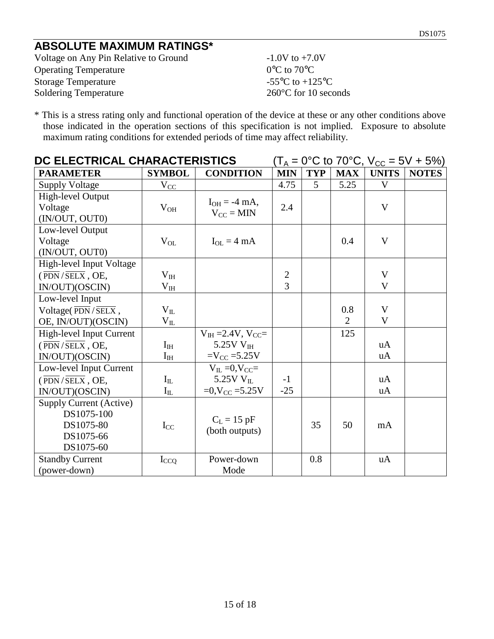# **ABSOLUTE MAXIMUM RATINGS\***

Voltage on Any Pin Relative to Ground -1.0V to +7.0V Operating Temperature 0°C to 70°C Storage Temperature  $-55^{\circ}$ C to  $+125^{\circ}$ C Soldering Temperature 260°C for 10 seconds

\* This is a stress rating only and functional operation of the device at these or any other conditions above those indicated in the operation sections of this specification is not implied. Exposure to absolute maximum rating conditions for extended periods of time may affect reliability.

| DC ELECTRICAL CHARACTERISTICS                                                        |                          |                                                                               | $(T_A = 0^{\circ}C \text{ to } 70^{\circ}C, V_{CC} = 5V + 5\%)$ |            |            |                             |              |
|--------------------------------------------------------------------------------------|--------------------------|-------------------------------------------------------------------------------|-----------------------------------------------------------------|------------|------------|-----------------------------|--------------|
| <b>PARAMETER</b>                                                                     | <b>SYMBOL</b>            | <b>CONDITION</b>                                                              | <b>MIN</b>                                                      | <b>TYP</b> | <b>MAX</b> | <b>UNITS</b>                | <b>NOTES</b> |
| <b>Supply Voltage</b>                                                                | $V_{CC}$                 |                                                                               | 4.75                                                            | 5          | 5.25       | V                           |              |
| High-level Output<br>Voltage                                                         | $V_{OH}$                 | $I_{OH} = -4$ mA,<br>$V_{CC} = MIN$                                           | 2.4                                                             |            |            | V                           |              |
| (IN/OUT, OUT0)<br>Low-level Output<br>Voltage<br>(IN/OUT, OUT0)                      | $V_{OL}$                 | $I_{OL} = 4 mA$                                                               |                                                                 |            | 0.4        | V                           |              |
| High-level Input Voltage<br>$(\overline{PDN}/\overline{SELX},$ OE,<br>IN/OUT)(OSCIN) | $V_{IH}$<br>$\rm V_{IH}$ |                                                                               | $\overline{2}$<br>3                                             |            |            | $\mathbf V$<br>$\mathbf{V}$ |              |
| Low-level Input<br>Voltage( $\overline{PDN}/\overline{SELX}$ ,<br>OE, IN/OUT)(OSCIN) | $V_{IL}$<br>$V_{IL}$     |                                                                               |                                                                 |            | 0.8<br>2   | V<br>$\mathbf{V}$           |              |
| High-level Input Current<br>$(\overline{PDN}/\overline{SELX},$ OE,<br>IN/OUT)(OSCIN) | $I_{IH}$<br>$I_{IH}$     | $V_{IH} = 2.4 V, V_{CC} =$<br>$5.25V$ V <sub>IH</sub><br>$=V_{CC} = 5.25V$    |                                                                 |            | 125        | uA<br>uA                    |              |
| Low-level Input Current<br>$(\overline{PDN}/\overline{SELX},$ OE,<br>IN/OUT)(OSCIN)  | $I_{IL}$<br>$I_{IL}$     | $V_{IL} = 0$ , $V_{CC} =$<br>5.25V $V_{II}$<br>$=0$ , V <sub>CC</sub> = 5.25V | $-1$<br>$-25$                                                   |            |            | uA<br>uA                    |              |
| <b>Supply Current (Active)</b><br>DS1075-100<br>DS1075-80<br>DS1075-66<br>DS1075-60  | $I_{CC}$                 | $C_L = 15$ pF<br>(both outputs)                                               |                                                                 | 35         | 50         | mA                          |              |
| <b>Standby Current</b><br>(power-down)                                               | $I_{CCQ}$                | Power-down<br>Mode                                                            |                                                                 | 0.8        |            | uA                          |              |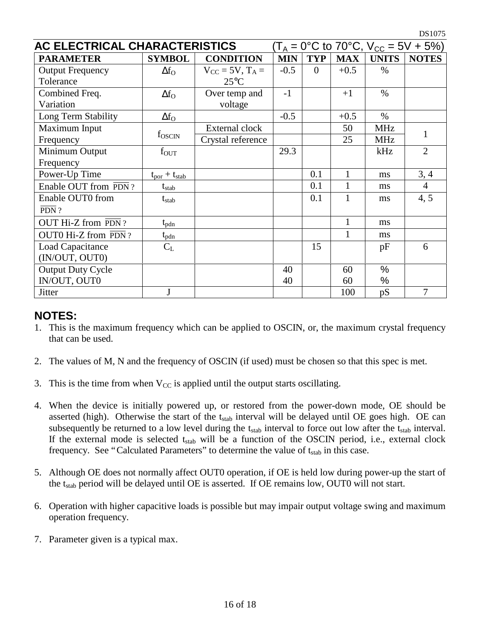| AC ELECTRICAL CHARACTERISTICS<br>$(T_A = 0^{\circ}C \text{ to } 70^{\circ}C, V_{CC} = 5V + 5\%)$ |                                    |                        |            |            |              |              |                |
|--------------------------------------------------------------------------------------------------|------------------------------------|------------------------|------------|------------|--------------|--------------|----------------|
| <b>PARAMETER</b>                                                                                 | <b>SYMBOL</b>                      | <b>CONDITION</b>       | <b>MIN</b> | <b>TYP</b> | <b>MAX</b>   | <b>UNITS</b> | <b>NOTES</b>   |
| <b>Output Frequency</b>                                                                          | $\Delta f_{\rm O}$                 | $V_{CC}$ = 5V, $T_A$ = | $-0.5$     | $\Omega$   | $+0.5$       | $\%$         |                |
| Tolerance                                                                                        |                                    | $25^{\circ}$ C         |            |            |              |              |                |
| Combined Freq.                                                                                   | $\Delta f_{\rm O}$                 | Over temp and          | $-1$       |            | $+1$         | $\%$         |                |
| Variation                                                                                        |                                    | voltage                |            |            |              |              |                |
| Long Term Stability                                                                              | $\Delta f_{\rm O}$                 |                        | $-0.5$     |            | $+0.5$       | $\%$         |                |
| Maximum Input                                                                                    |                                    | External clock         |            |            | 50           | <b>MHz</b>   | 1              |
| Frequency                                                                                        | f <sub>oscin</sub>                 | Crystal reference      |            |            | 25           | <b>MHz</b>   |                |
| Minimum Output                                                                                   | $f_{OUT}$                          |                        | 29.3       |            |              | kHz          | $\overline{2}$ |
| Frequency                                                                                        |                                    |                        |            |            |              |              |                |
| Power-Up Time                                                                                    | $t_{\text{por}} + t_{\text{stab}}$ |                        |            | 0.1        | $\mathbf{1}$ | ms           | 3, 4           |
| Enable OUT from PDN?                                                                             | $t_{stab}$                         |                        |            | 0.1        | 1            | ms           | $\overline{4}$ |
| Enable OUT0 from                                                                                 | $t_{stab}$                         |                        |            | 0.1        | 1            | ms           | 4, 5           |
| $\overline{PDN}$ ?                                                                               |                                    |                        |            |            |              |              |                |
| OUT Hi-Z from PDN?                                                                               | $t_{pdn}$                          |                        |            |            | $\mathbf{1}$ | ms           |                |
| OUT0 Hi-Z from $\overline{PDN}$ ?                                                                | $t_{pdn}$                          |                        |            |            | 1            | ms           |                |
| Load Capacitance                                                                                 | $C_{L}$                            |                        |            | 15         |              | pF           | 6              |
| (IN/OUT, OUT0)                                                                                   |                                    |                        |            |            |              |              |                |
| <b>Output Duty Cycle</b>                                                                         |                                    |                        | 40         |            | 60           | $\%$         |                |
| IN/OUT, OUT0                                                                                     |                                    |                        | 40         |            | 60           | %            |                |
| Jitter                                                                                           | J                                  |                        |            |            | 100          | pS           | 7              |

# **NOTES:**

- 1. This is the maximum frequency which can be applied to OSCIN, or, the maximum crystal frequency that can be used.
- 2. The values of M, N and the frequency of OSCIN (if used) must be chosen so that this spec is met.
- 3. This is the time from when  $V_{CC}$  is applied until the output starts oscillating.
- 4. When the device is initially powered up, or restored from the power-down mode, OE should be asserted (high). Otherwise the start of the  $t_{stab}$  interval will be delayed until OE goes high. OE can subsequently be returned to a low level during the  $t_{stab}$  interval to force out low after the  $t_{stab}$  interval. If the external mode is selected  $t_{stab}$  will be a function of the OSCIN period, i.e., external clock frequency. See "Calculated Parameters" to determine the value of  $t_{stab}$  in this case.
- 5. Although OE does not normally affect OUT0 operation, if OE is held low during power-up the start of the t<sub>stab</sub> period will be delayed until OE is asserted. If OE remains low, OUT0 will not start.
- 6. Operation with higher capacitive loads is possible but may impair output voltage swing and maximum operation frequency.
- 7. Parameter given is a typical max.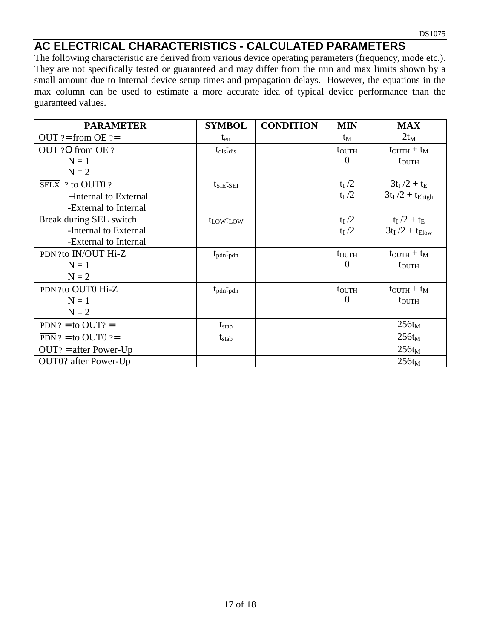## **AC ELECTRICAL CHARACTERISTICS - CALCULATED PARAMETERS**

The following characteristic are derived from various device operating parameters (frequency, mode etc.). They are not specifically tested or guaranteed and may differ from the min and max limits shown by a small amount due to internal device setup times and propagation delays. However, the equations in the max column can be used to estimate a more accurate idea of typical device performance than the guaranteed values.

| <b>PARAMETER</b>                     | <b>SYMBOL</b>                     | <b>CONDITION</b> | <b>MIN</b>        | <b>MAX</b>                       |
|--------------------------------------|-----------------------------------|------------------|-------------------|----------------------------------|
| $OUT$ ?= from $OE$ ?=                | $t_{en}$                          |                  | $t_M$             | $2t_M$                           |
| OUT ?O from OE ?                     | $t_{dis}t_{dis}$                  |                  | $t_{\text{OUTH}}$ | $t_{\text{OUTH}} + t_{\text{M}}$ |
| $N = 1$                              |                                   |                  | $\Omega$          | $t_{\text{OUTH}}$                |
| $N = 2$                              |                                   |                  |                   |                                  |
| $\overline{\text{SELX}}$ ? to OUT0 ? | $t_{SIE}t_{SEI}$                  |                  | $t_I/2$           | $3t_I/2 + t_E$                   |
| -Internal to External                |                                   |                  | $t_I/2$           | $3t_I/2 + t_{Ehigh}$             |
| -External to Internal                |                                   |                  |                   |                                  |
| Break during SEL switch              | t <sub>LOW</sub> t <sub>LOW</sub> |                  | $t_I/2$           | $t_I/2 + t_E$                    |
| -Internal to External                |                                   |                  | $t_I/2$           | $3t_I/2 + t_{Elow}$              |
| -External to Internal                |                                   |                  |                   |                                  |
| PDN ?to IN/OUT Hi-Z                  | $t_{pdn}t_{pdn}$                  |                  | $t_{\text{OUTH}}$ | $t_{\text{OUTH}} + t_{\text{M}}$ |
| $N = 1$                              |                                   |                  | $\overline{0}$    | $t_{\text{OUTH}}$                |
| $N = 2$                              |                                   |                  |                   |                                  |
| PDN ?to OUT0 Hi-Z                    | $t_{pdn}t_{pdn}$                  |                  | $t_{\text{OUTH}}$ | $t_{\text{OUTH}} + t_{\text{M}}$ |
| $N = 1$                              |                                   |                  | $\theta$          | $t_{\text{OUTH}}$                |
| $N = 2$                              |                                   |                  |                   |                                  |
| $\overline{PDN}$ ? = to OUT? =       | $t_{stab}$                        |                  |                   | $256t_M$                         |
| $\overline{PDN}$ ? = to OUT0 ?=      | $t_{stab}$                        |                  |                   | $256t_M$                         |
| $OUT? = after Power-Up$              |                                   |                  |                   | $256t_M$                         |
| OUT0? after Power-Up                 |                                   |                  |                   | $256t_M$                         |